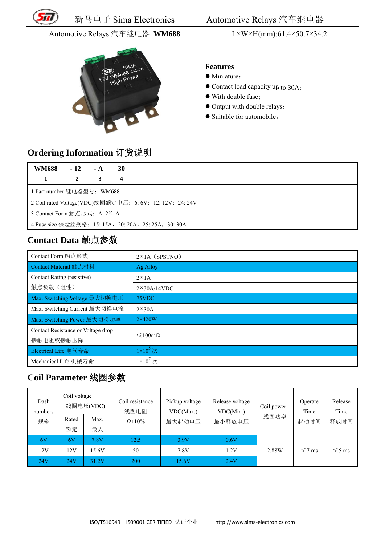

新马电子 子 Sima E Electronics

Automotive Relays 汽车继电器

#### Automotive Relays 汽车继电器 WM688



#### **F Features**

- Miniature;
- Contact load capacity up to 30A;
- With double fuse;
- Output with double relays;
- Suitable for automobile.

### **O rdering I nformatio on** 订货说 说明

| <b>WM688</b>                                             | $-12$ | $-A$ | <u>30</u> |
|----------------------------------------------------------|-------|------|-----------|
|                                                          |       | 3    | 4         |
| 1 Part number 继电器型号: WM688                               |       |      |           |
| 2 Coil rated Voltage(VDC)线圈额定电压: 6: 6V; 12: 12V; 24: 24V |       |      |           |
| 3 Contact Form 触点形式: A: 2×1A                             |       |      |           |
|                                                          |       |      |           |

## Contact Data 触点参数

|                                                       |                                            | 新马电子 Sima Electronics              |                                          |                                              |                                                          | Automotive Relays 汽车继电器                                                                                                                                            |                    |                         |                         |  |
|-------------------------------------------------------|--------------------------------------------|------------------------------------|------------------------------------------|----------------------------------------------|----------------------------------------------------------|--------------------------------------------------------------------------------------------------------------------------------------------------------------------|--------------------|-------------------------|-------------------------|--|
|                                                       |                                            | Automotive Relays 汽车继电器 WM688      |                                          |                                              |                                                          | $L \times W \times H$ (mm):61.4×50.7×34.2                                                                                                                          |                    |                         |                         |  |
|                                                       |                                            |                                    | <b>WM688 2x250W</b><br><b>High Power</b> |                                              |                                                          | <b>Features</b><br>· Miniature;<br>$\bullet$ Contact load capacity up to 30A:<br>• With double fuse:<br>• Output with double relays;<br>• Suitable for automobile. |                    |                         |                         |  |
| Ordering Information 订货说明                             |                                            |                                    |                                          |                                              |                                                          |                                                                                                                                                                    |                    |                         |                         |  |
| <b>WM688</b><br>$\mathbf{1}$                          | $-12$<br>$\overline{2}$                    | <u>- A</u><br>3                    | $\underline{30}$<br>4                    |                                              |                                                          |                                                                                                                                                                    |                    |                         |                         |  |
|                                                       |                                            | 1 Part number 继电器型号: WM688         |                                          |                                              |                                                          |                                                                                                                                                                    |                    |                         |                         |  |
|                                                       |                                            |                                    |                                          |                                              | 2 Coil rated Voltage(VDC)线圈额定电压: 6: 6V; 12: 12V; 24: 24V |                                                                                                                                                                    |                    |                         |                         |  |
|                                                       |                                            | 3 Contact Form 触点形式: A: 2×1A       |                                          |                                              |                                                          |                                                                                                                                                                    |                    |                         |                         |  |
| 4 Fuse size 保险丝规格: 15: 15A, 20: 20A, 25: 25A, 30: 30A |                                            |                                    |                                          |                                              |                                                          |                                                                                                                                                                    |                    |                         |                         |  |
|                                                       |                                            |                                    |                                          |                                              |                                                          |                                                                                                                                                                    |                    |                         |                         |  |
| Contact Data 触点参数                                     |                                            |                                    |                                          |                                              |                                                          |                                                                                                                                                                    |                    |                         |                         |  |
| Contact Form 触点形式                                     |                                            |                                    |                                          | $2\times1$ A (SPSTNO)                        |                                                          |                                                                                                                                                                    |                    |                         |                         |  |
| Contact Material 触点材料                                 |                                            |                                    |                                          | <b>Ag Alloy</b>                              |                                                          |                                                                                                                                                                    |                    |                         |                         |  |
| Contact Rating (resistive)                            |                                            |                                    |                                          | $2 \times 1$ A                               |                                                          |                                                                                                                                                                    |                    |                         |                         |  |
| 触点负载(阻性)                                              |                                            |                                    |                                          | $2\times30A/14VDC$                           |                                                          |                                                                                                                                                                    |                    |                         |                         |  |
| Max. Switching Voltage 最大切换电压                         |                                            |                                    |                                          | 75VDC                                        |                                                          |                                                                                                                                                                    |                    |                         |                         |  |
|                                                       |                                            | Max. Switching Current 最大切换电流      |                                          | $2\times30A$                                 |                                                          |                                                                                                                                                                    |                    |                         |                         |  |
| Max. Switching Power 最大切换功率                           |                                            |                                    |                                          | $2\times420W$                                |                                                          |                                                                                                                                                                    |                    |                         |                         |  |
| 接触电阻或接触压降                                             |                                            | Contact Resistance or Voltage drop |                                          | ≤100mΩ                                       |                                                          |                                                                                                                                                                    |                    |                         |                         |  |
| Electrical Life 电气寿命                                  |                                            |                                    |                                          | $1\times10^5$ 次                              |                                                          |                                                                                                                                                                    |                    |                         |                         |  |
| Mechanical Life 机械寿命                                  |                                            |                                    |                                          | $1\times10^7$ 次                              |                                                          |                                                                                                                                                                    |                    |                         |                         |  |
| Coil Parameter 线圈参数                                   |                                            |                                    |                                          |                                              |                                                          |                                                                                                                                                                    |                    |                         |                         |  |
| Dash<br>numbers<br>规格                                 | Coil voltage<br>线圈电压(VDC)<br>Rated<br>Max. |                                    |                                          | Coil resistance<br>线圈电阻<br>$\Omega \pm 10\%$ | Pickup voltage<br>VDC(Max.)<br>最大起动电压                    | Release voltage<br>VDC(Min.)<br>最小释放电压                                                                                                                             | Coil power<br>线圈功率 | Operate<br>Time<br>起动时间 | Release<br>Time<br>释放时间 |  |
|                                                       | 额定                                         | 最大                                 |                                          |                                              |                                                          |                                                                                                                                                                    |                    |                         |                         |  |
| 6V                                                    | 6V                                         | 7.8V                               |                                          | 12.5                                         | 3.9V                                                     | 0.6V                                                                                                                                                               |                    |                         |                         |  |
| 12V                                                   | 12V                                        | 15.6V                              |                                          | 50                                           | 7.8V                                                     | 1.2V                                                                                                                                                               | 2.88W              | $\leq 7$ ms             | $\leq 5$ ms             |  |
| 24V                                                   | <b>24V</b>                                 | 31.2V                              |                                          | 200                                          | 15.6V                                                    | 2.4V                                                                                                                                                               |                    |                         |                         |  |

## **Co oil Param meter** 线圈 圈参数

| Dash<br>numbers | Coil voltage | 线圈电压(VDC)  | Coil resistance<br>线圈电阻 | Pickup voltage<br>VDC(Max.)<br>最大起动电压 | Release voltage<br>VDC(Min.)<br>最小释放电压 | Coil power<br>线圈功率 | Operate<br>Time<br>起动时间 | Release<br>Time<br>释放时间 |
|-----------------|--------------|------------|-------------------------|---------------------------------------|----------------------------------------|--------------------|-------------------------|-------------------------|
| 规格              | Rated<br>额定  | Max.<br>最大 | $\Omega \pm 10\%$       |                                       |                                        |                    |                         |                         |
| 6V              | 6V           | 7.8V       | 12.5                    | 3.9V                                  | 0.6V                                   |                    |                         |                         |
| 12V             | 12V          | 15.6V      | 50                      | 7.8V                                  | 1.2V                                   | 2.88W              | $\leq 7$ ms             | $\leq 5$ ms             |
| 24V             | 24V          | 31.2V      | 200                     | 15.6V                                 | 2.4V                                   |                    |                         |                         |